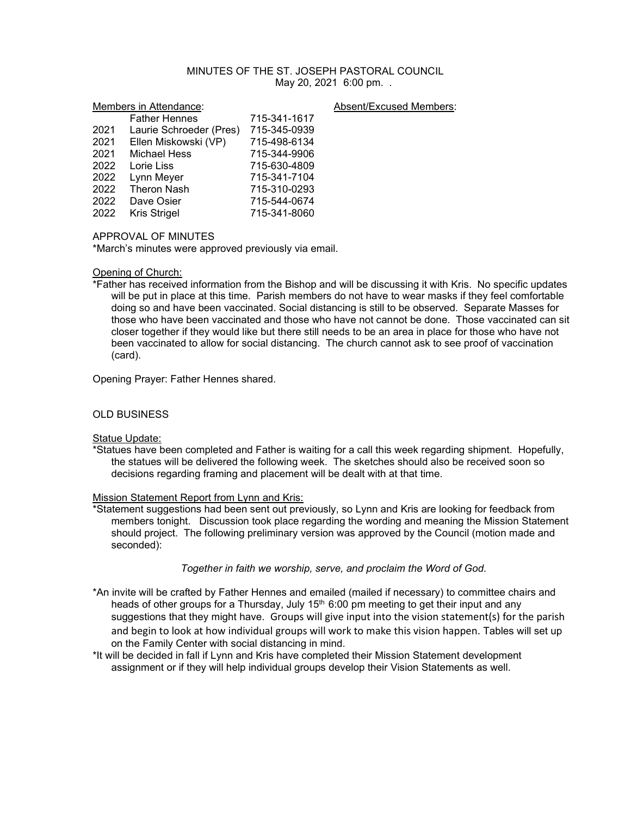# MINUTES OF THE ST. JOSEPH PASTORAL COUNCIL May 20, 2021 6:00 pm. .

#### Members in Attendance: Absent/Excused Members:

|      | <b>Father Hennes</b>    | 715-341-1617 |
|------|-------------------------|--------------|
| 2021 | Laurie Schroeder (Pres) | 715-345-0939 |
| 2021 | Ellen Miskowski (VP)    | 715-498-6134 |
| 2021 | <b>Michael Hess</b>     | 715-344-9906 |
| 2022 | Lorie Liss              | 715-630-4809 |
| 2022 | Lynn Meyer              | 715-341-7104 |
| 2022 | <b>Theron Nash</b>      | 715-310-0293 |
| 2022 | Dave Osier              | 715-544-0674 |
| 2022 | Kris Strigel            | 715-341-8060 |
|      |                         |              |

## APPROVAL OF MINUTES

\*March's minutes were approved previously via email.

# Opening of Church:

\*Father has received information from the Bishop and will be discussing it with Kris. No specific updates will be put in place at this time. Parish members do not have to wear masks if they feel comfortable doing so and have been vaccinated. Social distancing is still to be observed. Separate Masses for those who have been vaccinated and those who have not cannot be done. Those vaccinated can sit closer together if they would like but there still needs to be an area in place for those who have not been vaccinated to allow for social distancing. The church cannot ask to see proof of vaccination (card).

Opening Prayer: Father Hennes shared.

## OLD BUSINESS

**Statue Update:** 

\*Statues have been completed and Father is waiting for a call this week regarding shipment. Hopefully, the statues will be delivered the following week. The sketches should also be received soon so decisions regarding framing and placement will be dealt with at that time.

#### Mission Statement Report from Lynn and Kris:

\*Statement suggestions had been sent out previously, so Lynn and Kris are looking for feedback from members tonight. Discussion took place regarding the wording and meaning the Mission Statement should project. The following preliminary version was approved by the Council (motion made and seconded):

#### *Together in faith we worship, serve, and proclaim the Word of God.*

- \*An invite will be crafted by Father Hennes and emailed (mailed if necessary) to committee chairs and heads of other groups for a Thursday, July  $15<sup>th</sup>$  6:00 pm meeting to get their input and any suggestions that they might have. Groups will give input into the vision statement(s) for the parish and begin to look at how individual groups will work to make this vision happen. Tables will set up on the Family Center with social distancing in mind.
- \*It will be decided in fall if Lynn and Kris have completed their Mission Statement development assignment or if they will help individual groups develop their Vision Statements as well.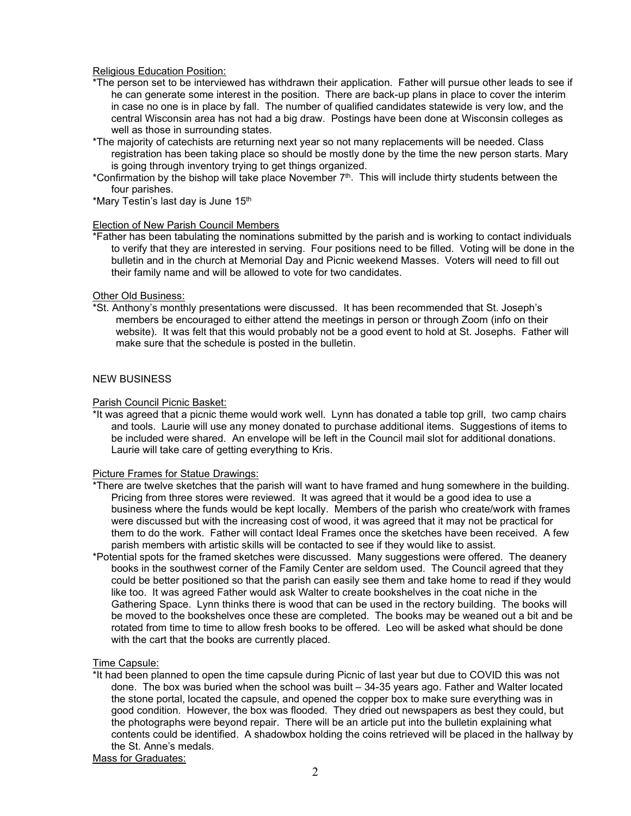# Religious Education Position:

- \*The person set to be interviewed has withdrawn their application. Father will pursue other leads to see if he can generate some interest in the position. There are back-up plans in place to cover the interim in case no one is in place by fall. The number of qualified candidates statewide is very low, and the central Wisconsin area has not had a big draw. Postings have been done at Wisconsin colleges as well as those in surrounding states.
- \*The majority of catechists are returning next year so not many replacements will be needed. Class registration has been taking place so should be mostly done by the time the new person starts. Mary is going through inventory trying to get things organized.
- \*Confirmation by the bishop will take place November  $7<sup>th</sup>$ . This will include thirty students between the four parishes.
- \*Mary Testin's last day is June 15<sup>th</sup>

## Election of New Parish Council Members

\*Father has been tabulating the nominations submitted by the parish and is working to contact individuals to verify that they are interested in serving. Four positions need to be filled. Voting will be done in the bulletin and in the church at Memorial Day and Picnic weekend Masses. Voters will need to fill out their family name and will be allowed to vote for two candidates.

## Other Old Business:

\*St. Anthony's monthly presentations were discussed. It has been recommended that St. Joseph's members be encouraged to either attend the meetings in person or through Zoom (info on their website). It was felt that this would probably not be a good event to hold at St. Josephs. Father will make sure that the schedule is posted in the bulletin.

# NEW BUSINESS

## Parish Council Picnic Basket:

\*It was agreed that a picnic theme would work well. Lynn has donated a table top grill, two camp chairs and tools. Laurie will use any money donated to purchase additional items. Suggestions of items to be included were shared. An envelope will be left in the Council mail slot for additional donations. Laurie will take care of getting everything to Kris.

# Picture Frames for Statue Drawings:

- \*There are twelve sketches that the parish will want to have framed and hung somewhere in the building. Pricing from three stores were reviewed. It was agreed that it would be a good idea to use a business where the funds would be kept locally. Members of the parish who create/work with frames were discussed but with the increasing cost of wood, it was agreed that it may not be practical for them to do the work. Father will contact Ideal Frames once the sketches have been received. A few parish members with artistic skills will be contacted to see if they would like to assist.
- \*Potential spots for the framed sketches were discussed. Many suggestions were offered. The deanery books in the southwest corner of the Family Center are seldom used. The Council agreed that they could be better positioned so that the parish can easily see them and take home to read if they would like too. It was agreed Father would ask Walter to create bookshelves in the coat niche in the Gathering Space. Lynn thinks there is wood that can be used in the rectory building. The books will be moved to the bookshelves once these are completed. The books may be weaned out a bit and be rotated from time to time to allow fresh books to be offered. Leo will be asked what should be done with the cart that the books are currently placed.

## Time Capsule:

\*It had been planned to open the time capsule during Picnic of last year but due to COVID this was not done. The box was buried when the school was built – 34-35 years ago. Father and Walter located the stone portal, located the capsule, and opened the copper box to make sure everything was in good condition. However, the box was flooded. They dried out newspapers as best they could, but the photographs were beyond repair. There will be an article put into the bulletin explaining what contents could be identified. A shadowbox holding the coins retrieved will be placed in the hallway by the St. Anne's medals.

Mass for Graduates: